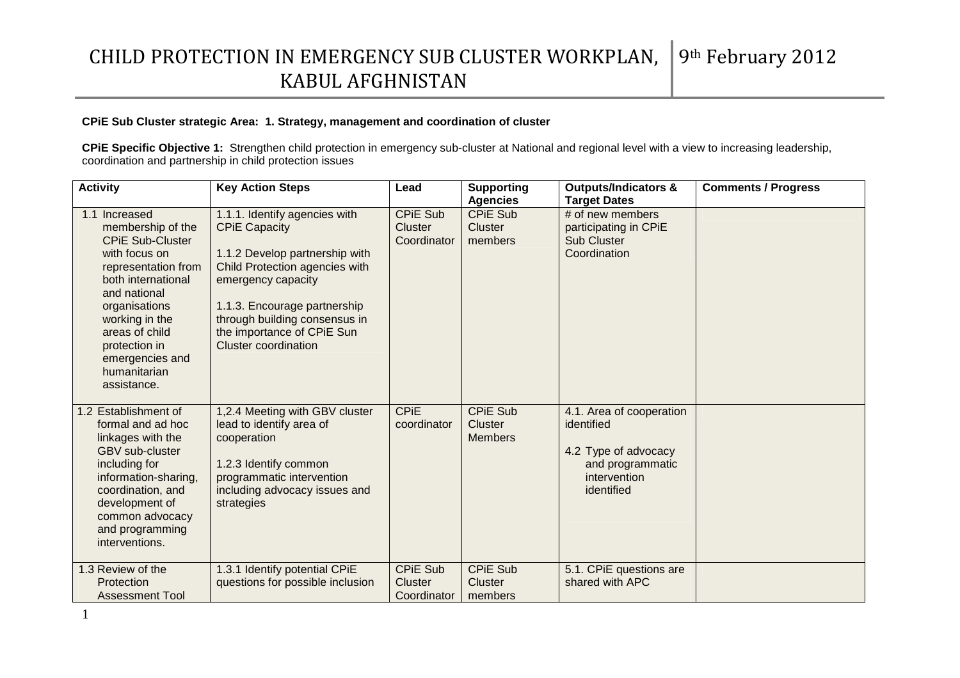### **CPiE Sub Cluster strategic Area: 1. Strategy, management and coordination of cluster**

**CPiE Specific Objective 1:** Strengthen child protection in emergency sub-cluster at National and regional level with a view to increasing leadership, coordination and partnership in child protection issues

| <b>Activity</b>                                                                                                                                                                                                                                                     | <b>Key Action Steps</b>                                                                                                                                                                                                                                                       | Lead                                             | <b>Supporting</b>                                        | <b>Outputs/Indicators &amp;</b><br><b>Target Dates</b>                                                           | <b>Comments / Progress</b> |
|---------------------------------------------------------------------------------------------------------------------------------------------------------------------------------------------------------------------------------------------------------------------|-------------------------------------------------------------------------------------------------------------------------------------------------------------------------------------------------------------------------------------------------------------------------------|--------------------------------------------------|----------------------------------------------------------|------------------------------------------------------------------------------------------------------------------|----------------------------|
| 1.1 Increased<br>membership of the<br><b>CPIE Sub-Cluster</b><br>with focus on<br>representation from<br>both international<br>and national<br>organisations<br>working in the<br>areas of child<br>protection in<br>emergencies and<br>humanitarian<br>assistance. | 1.1.1. Identify agencies with<br><b>CPIE Capacity</b><br>1.1.2 Develop partnership with<br>Child Protection agencies with<br>emergency capacity<br>1.1.3. Encourage partnership<br>through building consensus in<br>the importance of CPiE Sun<br><b>Cluster coordination</b> | <b>CPIE Sub</b><br><b>Cluster</b><br>Coordinator | <b>Agencies</b><br><b>CPIE Sub</b><br>Cluster<br>members | $#$ of new members<br>participating in CPiE<br><b>Sub Cluster</b><br>Coordination                                |                            |
| 1.2 Establishment of<br>formal and ad hoc<br>linkages with the<br><b>GBV</b> sub-cluster<br>including for<br>information-sharing,<br>coordination, and<br>development of<br>common advocacy<br>and programming<br>interventions.                                    | 1,2.4 Meeting with GBV cluster<br>lead to identify area of<br>cooperation<br>1.2.3 Identify common<br>programmatic intervention<br>including advocacy issues and<br>strategies                                                                                                | <b>CPiE</b><br>coordinator                       | <b>CPIE Sub</b><br>Cluster<br><b>Members</b>             | 4.1. Area of cooperation<br>identified<br>4.2 Type of advocacy<br>and programmatic<br>intervention<br>identified |                            |
| 1.3 Review of the<br>Protection<br><b>Assessment Tool</b>                                                                                                                                                                                                           | 1.3.1 Identify potential CPiE<br>questions for possible inclusion                                                                                                                                                                                                             | <b>CPIE Sub</b><br>Cluster<br>Coordinator        | <b>CPIE Sub</b><br><b>Cluster</b><br>members             | 5.1. CPIE questions are<br>shared with APC                                                                       |                            |

1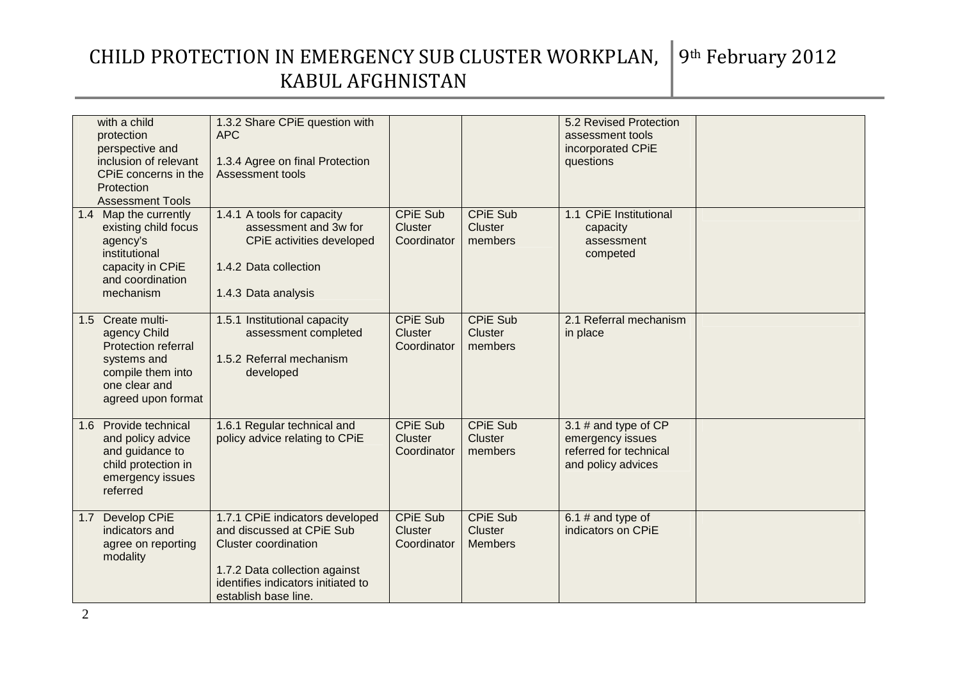|       | with a child<br>protection<br>perspective and<br>inclusion of relevant<br>CPIE concerns in the<br>Protection<br><b>Assessment Tools</b> | 1.3.2 Share CPiE question with<br><b>APC</b><br>1.3.4 Agree on final Protection<br>Assessment tools                                                                                        |                                                  |                                                     | 5.2 Revised Protection<br>assessment tools<br>incorporated CPiE<br>questions               |  |
|-------|-----------------------------------------------------------------------------------------------------------------------------------------|--------------------------------------------------------------------------------------------------------------------------------------------------------------------------------------------|--------------------------------------------------|-----------------------------------------------------|--------------------------------------------------------------------------------------------|--|
|       | 1.4 Map the currently<br>existing child focus<br>agency's<br>institutional<br>capacity in CPiE<br>and coordination<br>mechanism         | 1.4.1 A tools for capacity<br>assessment and 3w for<br>CPIE activities developed<br>1.4.2 Data collection<br>1.4.3 Data analysis                                                           | <b>CPIE Sub</b><br>Cluster<br>Coordinator        | <b>CPIE Sub</b><br><b>Cluster</b><br>members        | 1.1 CPiE Institutional<br>capacity<br>assessment<br>competed                               |  |
| 1.5   | Create multi-<br>agency Child<br><b>Protection referral</b><br>systems and<br>compile them into<br>one clear and<br>agreed upon format  | 1.5.1 Institutional capacity<br>assessment completed<br>1.5.2 Referral mechanism<br>developed                                                                                              | <b>CPIE Sub</b><br><b>Cluster</b><br>Coordinator | <b>CPIE Sub</b><br><b>Cluster</b><br>members        | 2.1 Referral mechanism<br>in place                                                         |  |
| 1.6   | Provide technical<br>and policy advice<br>and guidance to<br>child protection in<br>emergency issues<br>referred                        | 1.6.1 Regular technical and<br>policy advice relating to CPIE                                                                                                                              | <b>CPIE Sub</b><br>Cluster<br>Coordinator        | <b>CPiE Sub</b><br><b>Cluster</b><br>members        | 3.1 $#$ and type of CP<br>emergency issues<br>referred for technical<br>and policy advices |  |
| $1.7$ | Develop CPiE<br>indicators and<br>agree on reporting<br>modality                                                                        | 1.7.1 CPiE indicators developed<br>and discussed at CPIE Sub<br><b>Cluster coordination</b><br>1.7.2 Data collection against<br>identifies indicators initiated to<br>establish base line. | <b>CPIE Sub</b><br><b>Cluster</b><br>Coordinator | <b>CPIE Sub</b><br><b>Cluster</b><br><b>Members</b> | $6.1$ # and type of<br>indicators on CPiE                                                  |  |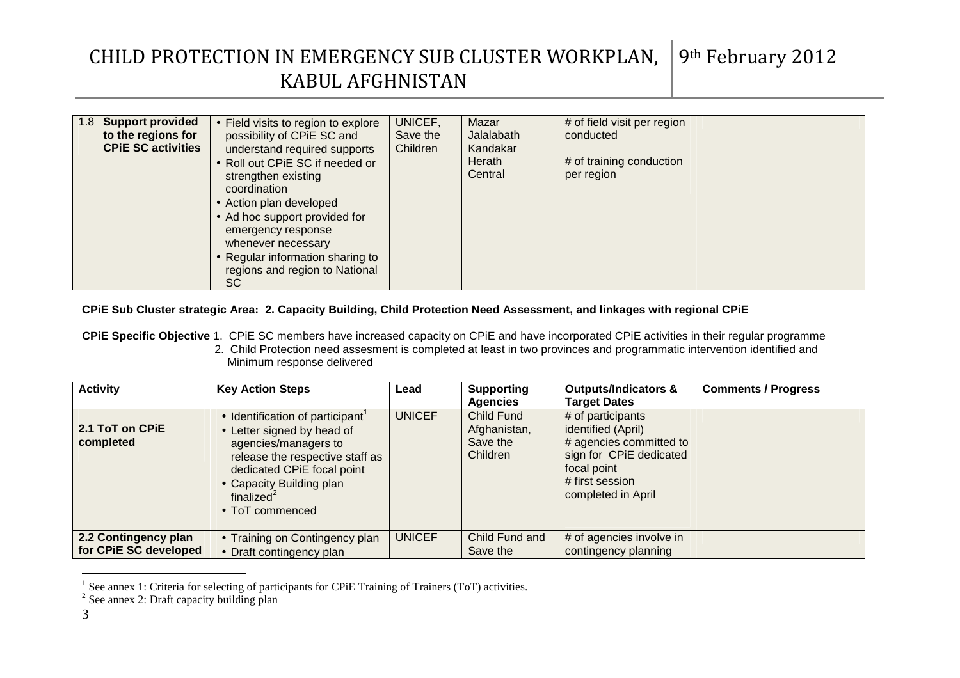| 1.8 Support provided<br>to the regions for<br><b>CPIE SC activities</b> | • Field visits to region to explore<br>possibility of CPiE SC and<br>understand required supports<br>• Roll out CPIE SC if needed or<br>strengthen existing<br>coordination<br>• Action plan developed | UNICEF,<br>Save the<br>Children | Mazar<br>Jalalabath<br>Kandakar<br>Herath<br>Central | # of field visit per region<br>conducted<br># of training conduction<br>per region |  |
|-------------------------------------------------------------------------|--------------------------------------------------------------------------------------------------------------------------------------------------------------------------------------------------------|---------------------------------|------------------------------------------------------|------------------------------------------------------------------------------------|--|
|                                                                         | • Ad hoc support provided for<br>emergency response<br>whenever necessary                                                                                                                              |                                 |                                                      |                                                                                    |  |
|                                                                         | • Regular information sharing to<br>regions and region to National<br>SC                                                                                                                               |                                 |                                                      |                                                                                    |  |

#### **CPiE Sub Cluster strategic Area: 2. Capacity Building, Child Protection Need Assessment, and linkages with regional CPiE**

**CPiE Specific Objective** 1. CPiE SC members have increased capacity on CPiE and have incorporated CPiE activities in their regular programme 2. Child Protection need assesment is completed at least in two provinces and programmatic intervention identified and Minimum response delivered

| <b>Activity</b>                               | <b>Key Action Steps</b>                                                                                                                                                                                                           | Lead          | <b>Supporting</b><br><b>Agencies</b>               | <b>Outputs/Indicators &amp;</b><br>Target Dates                                                                                                       | <b>Comments / Progress</b> |
|-----------------------------------------------|-----------------------------------------------------------------------------------------------------------------------------------------------------------------------------------------------------------------------------------|---------------|----------------------------------------------------|-------------------------------------------------------------------------------------------------------------------------------------------------------|----------------------------|
| 2.1 ToT on CPIE<br>completed                  | Identification of participant <sup>1</sup><br>• Letter signed by head of<br>agencies/managers to<br>release the respective staff as<br>dedicated CPiE focal point<br>• Capacity Building plan<br>finalized $2$<br>• ToT commenced | <b>UNICEF</b> | Child Fund<br>Afghanistan,<br>Save the<br>Children | # of participants<br>identified (April)<br># agencies committed to<br>sign for CPiE dedicated<br>focal point<br># first session<br>completed in April |                            |
| 2.2 Contingency plan<br>for CPIE SC developed | • Training on Contingency plan<br>• Draft contingency plan                                                                                                                                                                        | <b>UNICEF</b> | Child Fund and<br>Save the                         | # of agencies involve in<br>contingency planning                                                                                                      |                            |

<sup>&</sup>lt;sup>1</sup> See annex 1: Criteria for selecting of participants for CPiE Training of Trainers (ToT) activities.

 $2$  See annex 2: Draft capacity building plan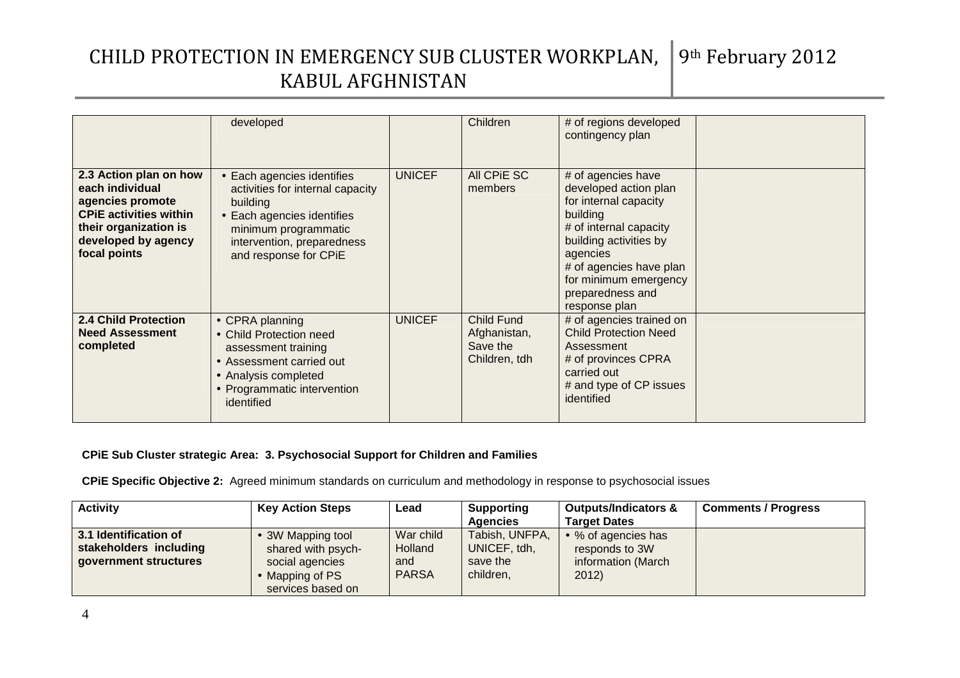|                                                                                                                                                                | developed                                                                                                                                                                               |               | Children                                                       | # of regions developed<br>contingency plan                                                                                                                                                                                                |  |
|----------------------------------------------------------------------------------------------------------------------------------------------------------------|-----------------------------------------------------------------------------------------------------------------------------------------------------------------------------------------|---------------|----------------------------------------------------------------|-------------------------------------------------------------------------------------------------------------------------------------------------------------------------------------------------------------------------------------------|--|
| 2.3 Action plan on how<br>each individual<br>agencies promote<br><b>CPIE activities within</b><br>their organization is<br>developed by agency<br>focal points | • Each agencies identifies<br>activities for internal capacity<br>building<br>• Each agencies identifies<br>minimum programmatic<br>intervention, preparedness<br>and response for CPiE | <b>UNICEF</b> | All CPIE SC<br>members                                         | # of agencies have<br>developed action plan<br>for internal capacity<br>building<br># of internal capacity<br>building activities by<br>agencies<br># of agencies have plan<br>for minimum emergency<br>preparedness and<br>response plan |  |
| <b>2.4 Child Protection</b><br><b>Need Assessment</b><br>completed                                                                                             | • CPRA planning<br>• Child Protection need<br>assessment training<br>• Assessment carried out<br>• Analysis completed<br>• Programmatic intervention<br>identified                      | <b>UNICEF</b> | <b>Child Fund</b><br>Afghanistan,<br>Save the<br>Children, tdh | # of agencies trained on<br><b>Child Protection Need</b><br>Assessment<br># of provinces CPRA<br>carried out<br># and type of CP issues<br>identified                                                                                     |  |

### **CPiE Sub Cluster strategic Area: 3. Psychosocial Support for Children and Families**

**CPiE Specific Objective 2:** Agreed minimum standards on curriculum and methodology in response to psychosocial issues

| <b>Activity</b>                                                          | <b>Key Action Steps</b>                                  | Lead                               | <b>Supporting</b>                          | <b>Outputs/Indicators &amp;</b>                             | <b>Comments / Progress</b> |
|--------------------------------------------------------------------------|----------------------------------------------------------|------------------------------------|--------------------------------------------|-------------------------------------------------------------|----------------------------|
|                                                                          |                                                          |                                    | Agencies                                   | <b>Target Dates</b>                                         |                            |
| 3.1 Identification of<br>stakeholders including<br>government structures | 3W Mapping tool<br>shared with psych-<br>social agencies | War child<br><b>Holland</b><br>and | Tabish, UNFPA,<br>UNICEF, tdh,<br>save the | • % of agencies has<br>responds to 3W<br>information (March |                            |
|                                                                          | Mapping of PS<br>services based on                       | <b>PARSA</b>                       | children,                                  | 2012                                                        |                            |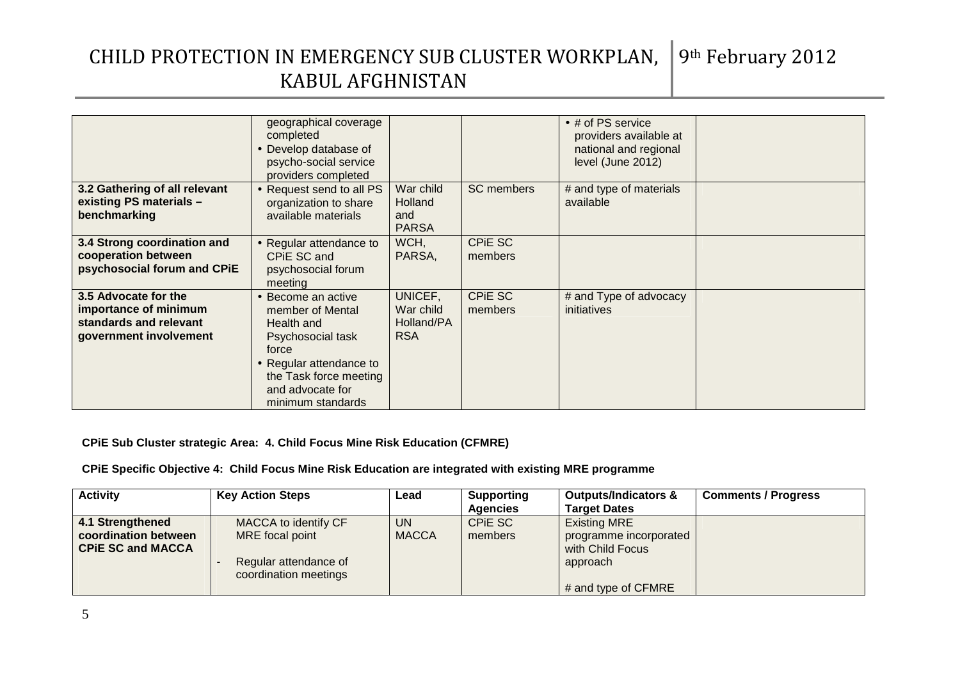|                                                                                                   | geographical coverage<br>completed<br>• Develop database of<br>psycho-social service<br>providers completed                                                                      |                                                    |                           | • # of PS service<br>providers available at<br>national and regional<br>level (June 2012) |  |
|---------------------------------------------------------------------------------------------------|----------------------------------------------------------------------------------------------------------------------------------------------------------------------------------|----------------------------------------------------|---------------------------|-------------------------------------------------------------------------------------------|--|
| 3.2 Gathering of all relevant<br>existing PS materials -<br>benchmarking                          | • Request send to all PS<br>organization to share<br>available materials                                                                                                         | War child<br><b>Holland</b><br>and<br><b>PARSA</b> | <b>SC</b> members         | # and type of materials<br>available                                                      |  |
| 3.4 Strong coordination and<br>cooperation between<br>psychosocial forum and CPiE                 | • Regular attendance to<br>CPIE SC and<br>psychosocial forum<br>meeting                                                                                                          | WCH,<br>PARSA,                                     | <b>CPIE SC</b><br>members |                                                                                           |  |
| 3.5 Advocate for the<br>importance of minimum<br>standards and relevant<br>government involvement | • Become an active<br>member of Mental<br>Health and<br>Psychosocial task<br>force<br>• Regular attendance to<br>the Task force meeting<br>and advocate for<br>minimum standards | UNICEF,<br>War child<br>Holland/PA<br><b>RSA</b>   | CPIE SC<br>members        | # and Type of advocacy<br>initiatives                                                     |  |

### **CPiE Sub Cluster strategic Area: 4. Child Focus Mine Risk Education (CFMRE)**

### **CPiE Specific Objective 4: Child Focus Mine Risk Education are integrated with existing MRE programme**

| <b>Activity</b>          | <b>Key Action Steps</b> | Lead         | <b>Supporting</b> | <b>Outputs/Indicators &amp;</b> | <b>Comments / Progress</b> |
|--------------------------|-------------------------|--------------|-------------------|---------------------------------|----------------------------|
|                          |                         |              | <b>Agencies</b>   | <b>Target Dates</b>             |                            |
| 4.1 Strengthened         | MACCA to identify CF    | UN.          | CPIE SC           | <b>Existing MRE</b>             |                            |
| coordination between     | MRE focal point         | <b>MACCA</b> | members           | programme incorporated          |                            |
| <b>CPIE SC and MACCA</b> |                         |              |                   | with Child Focus                |                            |
|                          | Regular attendance of   |              |                   | approach                        |                            |
|                          | coordination meetings   |              |                   |                                 |                            |
|                          |                         |              |                   | $\#$ and type of CFMRE          |                            |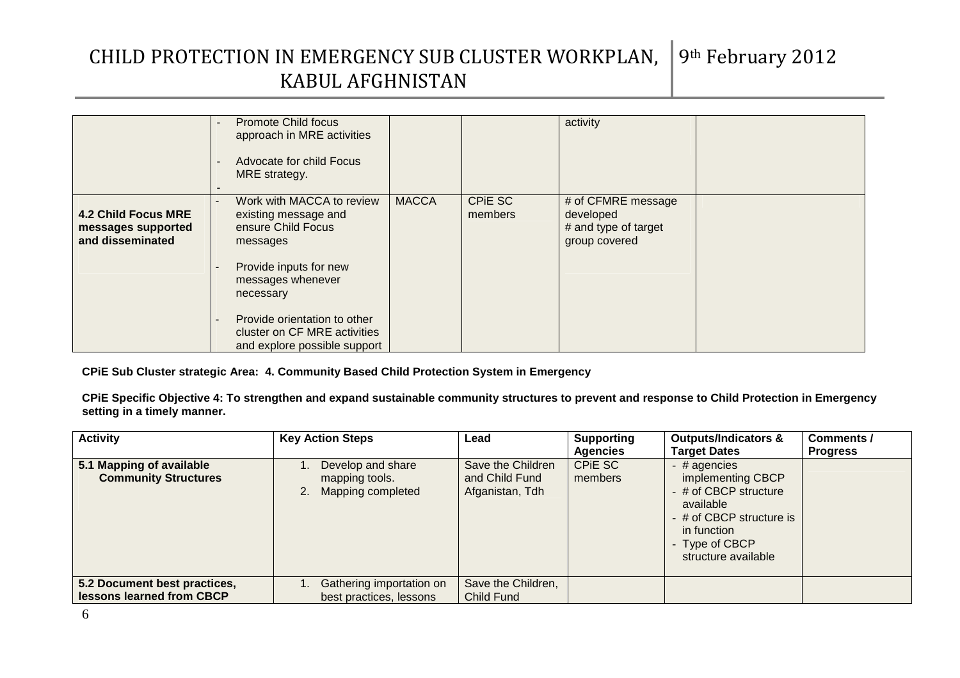|                                                                      | <b>Promote Child focus</b><br>approach in MRE activities<br>Advocate for child Focus<br>MRE strategy.                                           |              |                    | activity                                                                 |  |
|----------------------------------------------------------------------|-------------------------------------------------------------------------------------------------------------------------------------------------|--------------|--------------------|--------------------------------------------------------------------------|--|
| <b>4.2 Child Focus MRE</b><br>messages supported<br>and disseminated | Work with MACCA to review<br>existing message and<br>ensure Child Focus<br>messages<br>Provide inputs for new<br>messages whenever<br>necessary | <b>MACCA</b> | CPIE SC<br>members | # of CFMRE message<br>developed<br># and type of target<br>group covered |  |
|                                                                      | Provide orientation to other<br>cluster on CF MRE activities<br>and explore possible support                                                    |              |                    |                                                                          |  |

**CPiE Sub Cluster strategic Area: 4. Community Based Child Protection System in Emergency** 

**CPiE Specific Objective 4: To strengthen and expand sustainable community structures to prevent and response to Child Protection in Emergency setting in a timely manner.** 

| <b>Activity</b>                                         | <b>Key Action Steps</b>                                     | Lead                                                   | <b>Supporting</b><br><b>Agencies</b> | <b>Outputs/Indicators &amp;</b><br><b>Target Dates</b>                                                                                                                                | Comments /<br><b>Progress</b> |
|---------------------------------------------------------|-------------------------------------------------------------|--------------------------------------------------------|--------------------------------------|---------------------------------------------------------------------------------------------------------------------------------------------------------------------------------------|-------------------------------|
| 5.1 Mapping of available<br><b>Community Structures</b> | Develop and share<br>mapping tools.<br>2. Mapping completed | Save the Children<br>and Child Fund<br>Afganistan, Tdh | CPIE SC<br>members                   | $-$ # agencies<br>implementing CBCP<br># of CBCP structure<br>available<br>- # of CBCP structure is<br>in function<br>Type of CBCP<br>$\overline{\phantom{0}}$<br>structure available |                               |
| 5.2 Document best practices,                            | 1. Gathering importation on                                 | Save the Children,                                     |                                      |                                                                                                                                                                                       |                               |
| lessons learned from CBCP                               | best practices, lessons                                     | Child Fund                                             |                                      |                                                                                                                                                                                       |                               |